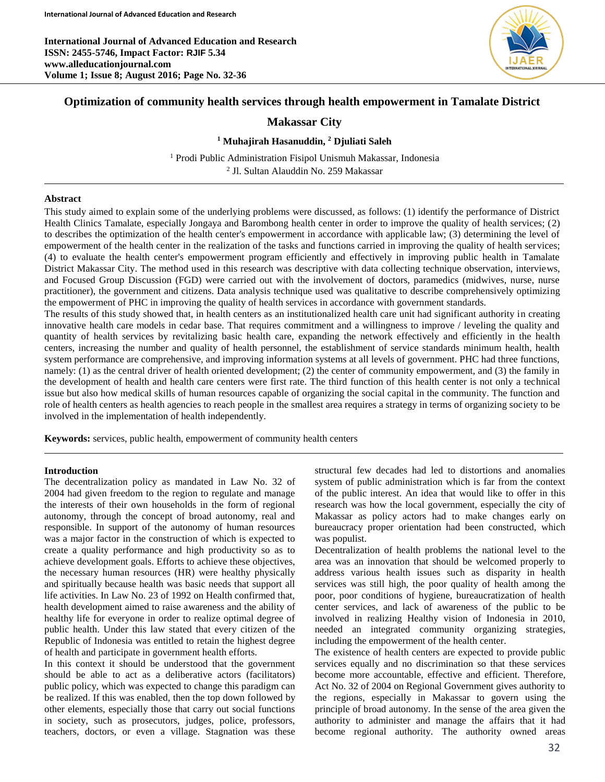**International Journal of Advanced Education and Research ISSN: 2455-5746, Impact Factor: RJIF 5.34 www.alleducationjournal.com Volume 1; Issue 8; August 2016; Page No. 32-36**



## **Optimization of community health services through health empowerment in Tamalate District**

# **Makassar City**

### **<sup>1</sup> Muhajirah Hasanuddin, <sup>2</sup> Djuliati Saleh**

<sup>1</sup> Prodi Public Administration Fisipol Unismuh Makassar, Indonesia 2 Jl. Sultan Alauddin No. 259 Makassar

### **Abstract**

This study aimed to explain some of the underlying problems were discussed, as follows: (1) identify the performance of District Health Clinics Tamalate, especially Jongaya and Barombong health center in order to improve the quality of health services; (2) to describes the optimization of the health center's empowerment in accordance with applicable law; (3) determining the level of empowerment of the health center in the realization of the tasks and functions carried in improving the quality of health services; (4) to evaluate the health center's empowerment program efficiently and effectively in improving public health in Tamalate District Makassar City. The method used in this research was descriptive with data collecting technique observation, interviews, and Focused Group Discussion (FGD) were carried out with the involvement of doctors, paramedics (midwives, nurse, nurse practitioner), the government and citizens. Data analysis technique used was qualitative to describe comprehensively optimizing the empowerment of PHC in improving the quality of health services in accordance with government standards.

The results of this study showed that, in health centers as an institutionalized health care unit had significant authority in creating innovative health care models in cedar base. That requires commitment and a willingness to improve / leveling the quality and quantity of health services by revitalizing basic health care, expanding the network effectively and efficiently in the health centers, increasing the number and quality of health personnel, the establishment of service standards minimum health, health system performance are comprehensive, and improving information systems at all levels of government. PHC had three functions, namely: (1) as the central driver of health oriented development; (2) the center of community empowerment, and (3) the family in the development of health and health care centers were first rate. The third function of this health center is not only a technical issue but also how medical skills of human resources capable of organizing the social capital in the community. The function and role of health centers as health agencies to reach people in the smallest area requires a strategy in terms of organizing society to be involved in the implementation of health independently.

**Keywords:** services, public health, empowerment of community health centers

#### **Introduction**

The decentralization policy as mandated in Law No. 32 of 2004 had given freedom to the region to regulate and manage the interests of their own households in the form of regional autonomy, through the concept of broad autonomy, real and responsible. In support of the autonomy of human resources was a major factor in the construction of which is expected to create a quality performance and high productivity so as to achieve development goals. Efforts to achieve these objectives, the necessary human resources (HR) were healthy physically and spiritually because health was basic needs that support all life activities. In Law No. 23 of 1992 on Health confirmed that, health development aimed to raise awareness and the ability of healthy life for everyone in order to realize optimal degree of public health. Under this law stated that every citizen of the Republic of Indonesia was entitled to retain the highest degree of health and participate in government health efforts.

In this context it should be understood that the government should be able to act as a deliberative actors (facilitators) public policy, which was expected to change this paradigm can be realized. If this was enabled, then the top down followed by other elements, especially those that carry out social functions in society, such as prosecutors, judges, police, professors, teachers, doctors, or even a village. Stagnation was these structural few decades had led to distortions and anomalies system of public administration which is far from the context of the public interest. An idea that would like to offer in this research was how the local government, especially the city of Makassar as policy actors had to make changes early on bureaucracy proper orientation had been constructed, which was populist.

Decentralization of health problems the national level to the area was an innovation that should be welcomed properly to address various health issues such as disparity in health services was still high, the poor quality of health among the poor, poor conditions of hygiene, bureaucratization of health center services, and lack of awareness of the public to be involved in realizing Healthy vision of Indonesia in 2010, needed an integrated community organizing strategies, including the empowerment of the health center.

The existence of health centers are expected to provide public services equally and no discrimination so that these services become more accountable, effective and efficient. Therefore, Act No. 32 of 2004 on Regional Government gives authority to the regions, especially in Makassar to govern using the principle of broad autonomy. In the sense of the area given the authority to administer and manage the affairs that it had become regional authority. The authority owned areas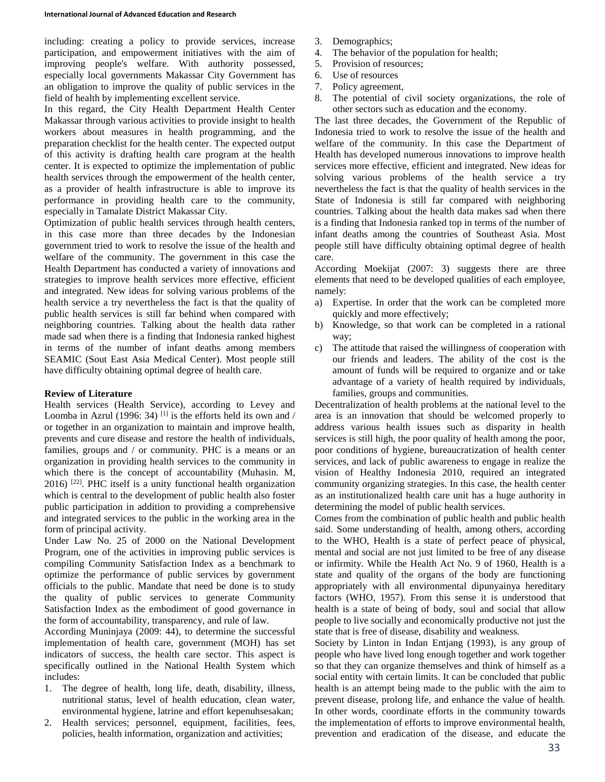including: creating a policy to provide services, increase participation, and empowerment initiatives with the aim of improving people's welfare. With authority possessed, especially local governments Makassar City Government has an obligation to improve the quality of public services in the field of health by implementing excellent service.

In this regard, the City Health Department Health Center Makassar through various activities to provide insight to health workers about measures in health programming, and the preparation checklist for the health center. The expected output of this activity is drafting health care program at the health center. It is expected to optimize the implementation of public health services through the empowerment of the health center, as a provider of health infrastructure is able to improve its performance in providing health care to the community, especially in Tamalate District Makassar City.

Optimization of public health services through health centers, in this case more than three decades by the Indonesian government tried to work to resolve the issue of the health and welfare of the community. The government in this case the Health Department has conducted a variety of innovations and strategies to improve health services more effective, efficient and integrated. New ideas for solving various problems of the health service a try nevertheless the fact is that the quality of public health services is still far behind when compared with neighboring countries. Talking about the health data rather made sad when there is a finding that Indonesia ranked highest in terms of the number of infant deaths among members SEAMIC (Sout East Asia Medical Center). Most people still have difficulty obtaining optimal degree of health care.

#### **Review of Literature**

Health services (Health Service), according to Levey and Loomba in Azrul (1996: 34) <sup>[1]</sup> is the efforts held its own and / or together in an organization to maintain and improve health, prevents and cure disease and restore the health of individuals, families, groups and / or community. PHC is a means or an organization in providing health services to the community in which there is the concept of accountability (Muhasin. M, 2016) [22]. PHC itself is a unity functional health organization which is central to the development of public health also foster public participation in addition to providing a comprehensive and integrated services to the public in the working area in the form of principal activity.

Under Law No. 25 of 2000 on the National Development Program, one of the activities in improving public services is compiling Community Satisfaction Index as a benchmark to optimize the performance of public services by government officials to the public. Mandate that need be done is to study the quality of public services to generate Community Satisfaction Index as the embodiment of good governance in the form of accountability, transparency, and rule of law.

According Muninjaya (2009: 44), to determine the successful implementation of health care, government (MOH) has set indicators of success, the health care sector. This aspect is specifically outlined in the National Health System which includes:

- 1. The degree of health, long life, death, disability, illness, nutritional status, level of health education, clean water, environmental hygiene, latrine and effort kepenuhsesakan;
- 2. Health services; personnel, equipment, facilities, fees, policies, health information, organization and activities;
- 3. Demographics;
- 4. The behavior of the population for health;
- 5. Provision of resources;
- 6. Use of resources
- 7. Policy agreement,
- 8. The potential of civil society organizations, the role of other sectors such as education and the economy.

The last three decades, the Government of the Republic of Indonesia tried to work to resolve the issue of the health and welfare of the community. In this case the Department of Health has developed numerous innovations to improve health services more effective, efficient and integrated. New ideas for solving various problems of the health service a try nevertheless the fact is that the quality of health services in the State of Indonesia is still far compared with neighboring countries. Talking about the health data makes sad when there is a finding that Indonesia ranked top in terms of the number of infant deaths among the countries of Southeast Asia. Most people still have difficulty obtaining optimal degree of health care.

According Moekijat (2007: 3) suggests there are three elements that need to be developed qualities of each employee, namely:

- a) Expertise. In order that the work can be completed more quickly and more effectively;
- b) Knowledge, so that work can be completed in a rational way;
- c) The attitude that raised the willingness of cooperation with our friends and leaders. The ability of the cost is the amount of funds will be required to organize and or take advantage of a variety of health required by individuals, families, groups and communities.

Decentralization of health problems at the national level to the area is an innovation that should be welcomed properly to address various health issues such as disparity in health services is still high, the poor quality of health among the poor, poor conditions of hygiene, bureaucratization of health center services, and lack of public awareness to engage in realize the vision of Healthy Indonesia 2010, required an integrated community organizing strategies. In this case, the health center as an institutionalized health care unit has a huge authority in determining the model of public health services.

Comes from the combination of public health and public health said. Some understanding of health, among others, according to the WHO, Health is a state of perfect peace of physical, mental and social are not just limited to be free of any disease or infirmity. While the Health Act No. 9 of 1960, Health is a state and quality of the organs of the body are functioning appropriately with all environmental dipunyainya hereditary factors (WHO, 1957). From this sense it is understood that health is a state of being of body, soul and social that allow people to live socially and economically productive not just the state that is free of disease, disability and weakness.

Society by Linton in Indan Entjang (1993), is any group of people who have lived long enough together and work together so that they can organize themselves and think of himself as a social entity with certain limits. It can be concluded that public health is an attempt being made to the public with the aim to prevent disease, prolong life, and enhance the value of health. In other words, coordinate efforts in the community towards the implementation of efforts to improve environmental health, prevention and eradication of the disease, and educate the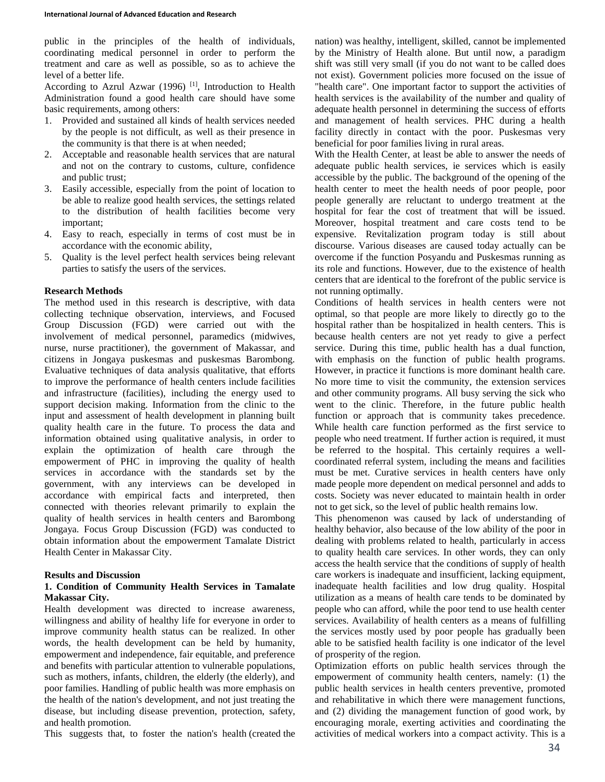public in the principles of the health of individuals, coordinating medical personnel in order to perform the treatment and care as well as possible, so as to achieve the level of a better life.

According to Azrul Azwar (1996)<sup>[1]</sup>, Introduction to Health Administration found a good health care should have some basic requirements, among others:

- 1. Provided and sustained all kinds of health services needed by the people is not difficult, as well as their presence in the community is that there is at when needed;
- 2. Acceptable and reasonable health services that are natural and not on the contrary to customs, culture, confidence and public trust;
- 3. Easily accessible, especially from the point of location to be able to realize good health services, the settings related to the distribution of health facilities become very important;
- 4. Easy to reach, especially in terms of cost must be in accordance with the economic ability,
- 5. Quality is the level perfect health services being relevant parties to satisfy the users of the services.

#### **Research Methods**

The method used in this research is descriptive, with data collecting technique observation, interviews, and Focused Group Discussion (FGD) were carried out with the involvement of medical personnel, paramedics (midwives, nurse, nurse practitioner), the government of Makassar, and citizens in Jongaya puskesmas and puskesmas Barombong. Evaluative techniques of data analysis qualitative, that efforts to improve the performance of health centers include facilities and infrastructure (facilities), including the energy used to support decision making. Information from the clinic to the input and assessment of health development in planning built quality health care in the future. To process the data and information obtained using qualitative analysis, in order to explain the optimization of health care through the empowerment of PHC in improving the quality of health services in accordance with the standards set by the government, with any interviews can be developed in accordance with empirical facts and interpreted, then connected with theories relevant primarily to explain the quality of health services in health centers and Barombong Jongaya. Focus Group Discussion (FGD) was conducted to obtain information about the empowerment Tamalate District Health Center in Makassar City.

#### **Results and Discussion**

### **1. Condition of Community Health Services in Tamalate Makassar City.**

Health development was directed to increase awareness, willingness and ability of healthy life for everyone in order to improve community health status can be realized. In other words, the health development can be held by humanity, empowerment and independence, fair equitable, and preference and benefits with particular attention to vulnerable populations, such as mothers, infants, children, the elderly (the elderly), and poor families. Handling of public health was more emphasis on the health of the nation's development, and not just treating the disease, but including disease prevention, protection, safety, and health promotion.

This suggests that, to foster the nation's health (created the

nation) was healthy, intelligent, skilled, cannot be implemented by the Ministry of Health alone. But until now, a paradigm shift was still very small (if you do not want to be called does not exist). Government policies more focused on the issue of "health care". One important factor to support the activities of health services is the availability of the number and quality of adequate health personnel in determining the success of efforts and management of health services. PHC during a health facility directly in contact with the poor. Puskesmas very beneficial for poor families living in rural areas.

With the Health Center, at least be able to answer the needs of adequate public health services, ie services which is easily accessible by the public. The background of the opening of the health center to meet the health needs of poor people, poor people generally are reluctant to undergo treatment at the hospital for fear the cost of treatment that will be issued. Moreover, hospital treatment and care costs tend to be expensive. Revitalization program today is still about discourse. Various diseases are caused today actually can be overcome if the function Posyandu and Puskesmas running as its role and functions. However, due to the existence of health centers that are identical to the forefront of the public service is not running optimally.

Conditions of health services in health centers were not optimal, so that people are more likely to directly go to the hospital rather than be hospitalized in health centers. This is because health centers are not yet ready to give a perfect service. During this time, public health has a dual function, with emphasis on the function of public health programs. However, in practice it functions is more dominant health care. No more time to visit the community, the extension services and other community programs. All busy serving the sick who went to the clinic. Therefore, in the future public health function or approach that is community takes precedence. While health care function performed as the first service to people who need treatment. If further action is required, it must be referred to the hospital. This certainly requires a wellcoordinated referral system, including the means and facilities must be met. Curative services in health centers have only made people more dependent on medical personnel and adds to costs. Society was never educated to maintain health in order not to get sick, so the level of public health remains low.

This phenomenon was caused by lack of understanding of healthy behavior, also because of the low ability of the poor in dealing with problems related to health, particularly in access to quality health care services. In other words, they can only access the health service that the conditions of supply of health care workers is inadequate and insufficient, lacking equipment, inadequate health facilities and low drug quality. Hospital utilization as a means of health care tends to be dominated by people who can afford, while the poor tend to use health center services. Availability of health centers as a means of fulfilling the services mostly used by poor people has gradually been able to be satisfied health facility is one indicator of the level of prosperity of the region.

Optimization efforts on public health services through the empowerment of community health centers, namely: (1) the public health services in health centers preventive, promoted and rehabilitative in which there were management functions, and (2) dividing the management function of good work, by encouraging morale, exerting activities and coordinating the activities of medical workers into a compact activity. This is a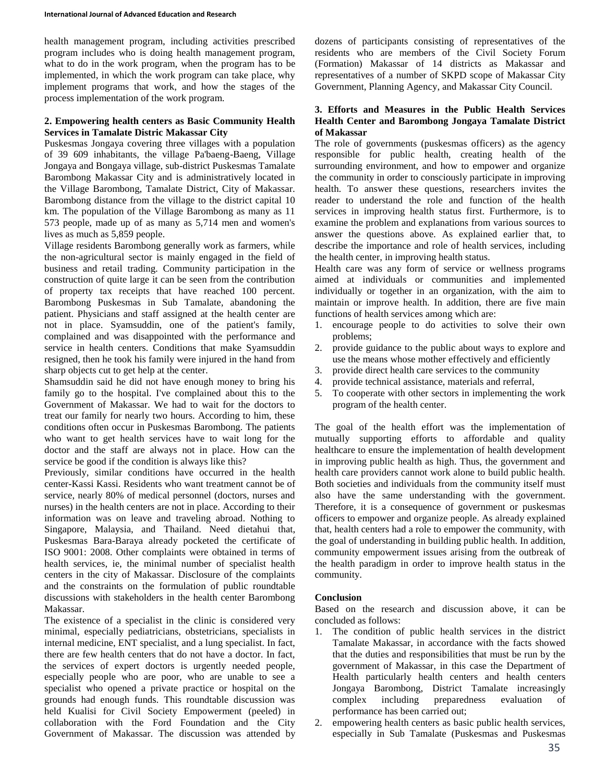health management program, including activities prescribed program includes who is doing health management program, what to do in the work program, when the program has to be implemented, in which the work program can take place, why implement programs that work, and how the stages of the process implementation of the work program.

### **2. Empowering health centers as Basic Community Health Services in Tamalate Distric Makassar City**

Puskesmas Jongaya covering three villages with a population of 39 609 inhabitants, the village Pa'baeng-Baeng, Village Jongaya and Bongaya village, sub-district Puskesmas Tamalate Barombong Makassar City and is administratively located in the Village Barombong, Tamalate District, City of Makassar. Barombong distance from the village to the district capital 10 km. The population of the Village Barombong as many as 11 573 people, made up of as many as 5,714 men and women's lives as much as 5,859 people.

Village residents Barombong generally work as farmers, while the non-agricultural sector is mainly engaged in the field of business and retail trading. Community participation in the construction of quite large it can be seen from the contribution of property tax receipts that have reached 100 percent. Barombong Puskesmas in Sub Tamalate, abandoning the patient. Physicians and staff assigned at the health center are not in place. Syamsuddin, one of the patient's family, complained and was disappointed with the performance and service in health centers. Conditions that make Syamsuddin resigned, then he took his family were injured in the hand from sharp objects cut to get help at the center.

Shamsuddin said he did not have enough money to bring his family go to the hospital. I've complained about this to the Government of Makassar. We had to wait for the doctors to treat our family for nearly two hours. According to him, these conditions often occur in Puskesmas Barombong. The patients who want to get health services have to wait long for the doctor and the staff are always not in place. How can the service be good if the condition is always like this?

Previously, similar conditions have occurred in the health center-Kassi Kassi. Residents who want treatment cannot be of service, nearly 80% of medical personnel (doctors, nurses and nurses) in the health centers are not in place. According to their information was on leave and traveling abroad. Nothing to Singapore, Malaysia, and Thailand. Need dietahui that, Puskesmas Bara-Baraya already pocketed the certificate of ISO 9001: 2008. Other complaints were obtained in terms of health services, ie, the minimal number of specialist health centers in the city of Makassar. Disclosure of the complaints and the constraints on the formulation of public roundtable discussions with stakeholders in the health center Barombong Makassar.

The existence of a specialist in the clinic is considered very minimal, especially pediatricians, obstetricians, specialists in internal medicine, ENT specialist, and a lung specialist. In fact, there are few health centers that do not have a doctor. In fact, the services of expert doctors is urgently needed people, especially people who are poor, who are unable to see a specialist who opened a private practice or hospital on the grounds had enough funds. This roundtable discussion was held Kualisi for Civil Society Empowerment (peeled) in collaboration with the Ford Foundation and the City Government of Makassar. The discussion was attended by

dozens of participants consisting of representatives of the residents who are members of the Civil Society Forum (Formation) Makassar of 14 districts as Makassar and representatives of a number of SKPD scope of Makassar City Government, Planning Agency, and Makassar City Council.

### **3. Efforts and Measures in the Public Health Services Health Center and Barombong Jongaya Tamalate District of Makassar**

The role of governments (puskesmas officers) as the agency responsible for public health, creating health of the surrounding environment, and how to empower and organize the community in order to consciously participate in improving health. To answer these questions, researchers invites the reader to understand the role and function of the health services in improving health status first. Furthermore, is to examine the problem and explanations from various sources to answer the questions above. As explained earlier that, to describe the importance and role of health services, including the health center, in improving health status.

Health care was any form of service or wellness programs aimed at individuals or communities and implemented individually or together in an organization, with the aim to maintain or improve health. In addition, there are five main functions of health services among which are:

- 1. encourage people to do activities to solve their own problems;
- 2. provide guidance to the public about ways to explore and use the means whose mother effectively and efficiently
- 3. provide direct health care services to the community
- 4. provide technical assistance, materials and referral,
- 5. To cooperate with other sectors in implementing the work program of the health center.

The goal of the health effort was the implementation of mutually supporting efforts to affordable and quality healthcare to ensure the implementation of health development in improving public health as high. Thus, the government and health care providers cannot work alone to build public health. Both societies and individuals from the community itself must also have the same understanding with the government. Therefore, it is a consequence of government or puskesmas officers to empower and organize people. As already explained that, health centers had a role to empower the community, with the goal of understanding in building public health. In addition, community empowerment issues arising from the outbreak of the health paradigm in order to improve health status in the community.

### **Conclusion**

Based on the research and discussion above, it can be concluded as follows:

- 1. The condition of public health services in the district Tamalate Makassar, in accordance with the facts showed that the duties and responsibilities that must be run by the government of Makassar, in this case the Department of Health particularly health centers and health centers Jongaya Barombong, District Tamalate increasingly complex including preparedness evaluation of performance has been carried out;
- 2. empowering health centers as basic public health services, especially in Sub Tamalate (Puskesmas and Puskesmas